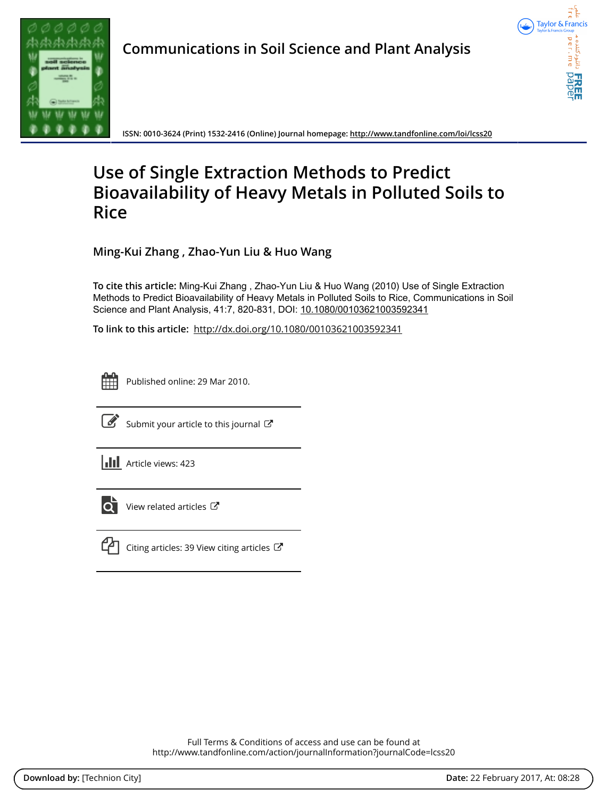

**Communications in Soil Science and Plant Analysis**



**ISSN: 0010-3624 (Print) 1532-2416 (Online) Journal homepage:<http://www.tandfonline.com/loi/lcss20>**

# **Use of Single Extraction Methods to Predict Bioavailability of Heavy Metals in Polluted Soils to Rice**

**Ming-Kui Zhang , Zhao-Yun Liu & Huo Wang**

**To cite this article:** Ming-Kui Zhang , Zhao-Yun Liu & Huo Wang (2010) Use of Single Extraction Methods to Predict Bioavailability of Heavy Metals in Polluted Soils to Rice, Communications in Soil Science and Plant Analysis, 41:7, 820-831, DOI: [10.1080/00103621003592341](http://www.tandfonline.com/action/showCitFormats?doi=10.1080/00103621003592341)

**To link to this article:** <http://dx.doi.org/10.1080/00103621003592341>



Published online: 29 Mar 2010.



 $\overrightarrow{S}$  [Submit your article to this journal](http://www.tandfonline.com/action/authorSubmission?journalCode=lcss20&show=instructions)  $\overrightarrow{S}$ 





 $\overline{Q}$  [View related articles](http://www.tandfonline.com/doi/mlt/10.1080/00103621003592341)  $\mathbb{Z}$ 



 $\mathbb{C}\Box$  [Citing articles: 39 View citing articles](http://www.tandfonline.com/doi/citedby/10.1080/00103621003592341#tabModule)  $\mathbb{C}\Box$ 

Full Terms & Conditions of access and use can be found at <http://www.tandfonline.com/action/journalInformation?journalCode=lcss20>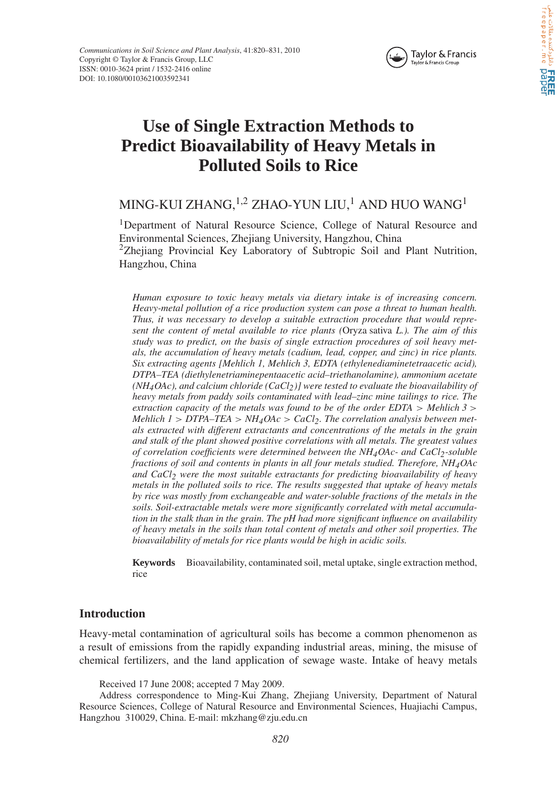

# Crie Cyla, oxidojala FREE

## **Use of Single Extraction Methods to Predict Bioavailability of Heavy Metals in Polluted Soils to Rice**

### MING-KUI ZHANG, <sup>1,2</sup> ZHAO-YUN LIU,<sup>1</sup> AND HUO WANG<sup>1</sup>

<sup>1</sup>Department of Natural Resource Science, College of Natural Resource and Environmental Sciences, Zhejiang University, Hangzhou, China  $2$ Zhejiang Provincial Key Laboratory of Subtropic Soil and Plant Nutrition, Hangzhou, China

*Human exposure to toxic heavy metals via dietary intake is of increasing concern. Heavy-metal pollution of a rice production system can pose a threat to human health. Thus, it was necessary to develop a suitable extraction procedure that would represent the content of metal available to rice plants (*Oryza sativa *L.). The aim of this study was to predict, on the basis of single extraction procedures of soil heavy metals, the accumulation of heavy metals (cadium, lead, copper, and zinc) in rice plants. Six extracting agents [Mehlich 1, Mehlich 3, EDTA (ethylenediaminetetraacetic acid), DTPA–TEA (diethylenetriaminepentaacetic acid–triethanolamine), ammonium acetate (NH4OAc), and calcium chloride (CaCl2)] were tested to evaluate the bioavailability of heavy metals from paddy soils contaminated with lead–zinc mine tailings to rice. The extraction capacity of the metals was found to be of the order EDTA > Mehlich 3 > Mehlich 1 > DTPA–TEA > NH4OAc > CaCl2. The correlation analysis between metals extracted with different extractants and concentrations of the metals in the grain and stalk of the plant showed positive correlations with all metals. The greatest values of correlation coefficients were determined between the NH4OAc- and CaCl2-soluble fractions of soil and contents in plants in all four metals studied. Therefore, NH4OAc and CaCl2 were the most suitable extractants for predicting bioavailability of heavy metals in the polluted soils to rice. The results suggested that uptake of heavy metals by rice was mostly from exchangeable and water-soluble fractions of the metals in the soils. Soil-extractable metals were more significantly correlated with metal accumulation in the stalk than in the grain. The pH had more significant influence on availability of heavy metals in the soils than total content of metals and other soil properties. The bioavailability of metals for rice plants would be high in acidic soils.*

**Keywords** Bioavailability, contaminated soil, metal uptake, single extraction method, rice

#### **Introduction**

Heavy-metal contamination of agricultural soils has become a common phenomenon as a result of emissions from the rapidly expanding industrial areas, mining, the misuse of chemical fertilizers, and the land application of sewage waste. Intake of heavy metals

Received 17 June 2008; accepted 7 May 2009.

Address correspondence to Ming-Kui Zhang, Zhejiang University, Department of Natural Resource Sciences, College of Natural Resource and Environmental Sciences, Huajiachi Campus, Hangzhou 310029, China. E-mail: mkzhang@zju.edu.cn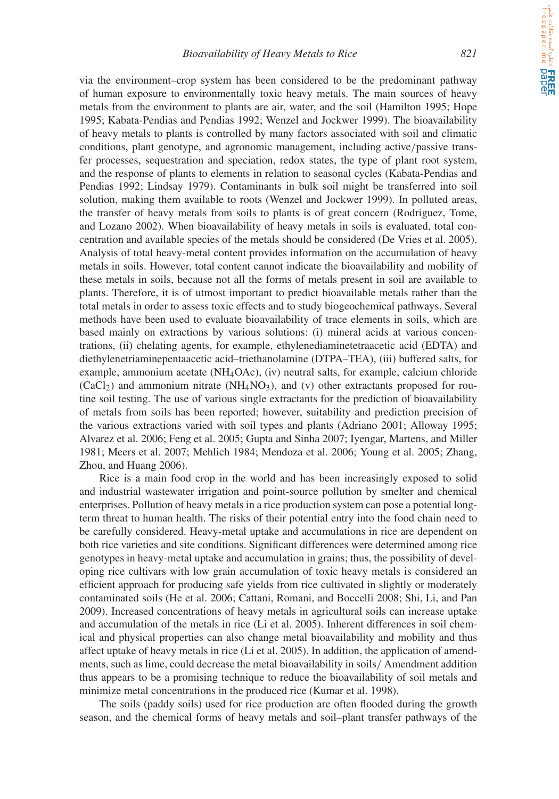**CALE ERREE**<br>القام الثلوثتنده مقالات علمی

via the environment–crop system has been considered to be the predominant pathway of human exposure to environmentally toxic heavy metals. The main sources of heavy metals from the environment to plants are air, water, and the soil (Hamilton 1995; Hope 1995; Kabata-Pendias and Pendias 1992; Wenzel and Jockwer 1999). The bioavailability of heavy metals to plants is controlled by many factors associated with soil and climatic conditions, plant genotype, and agronomic management, including active*/*passive transfer processes, sequestration and speciation, redox states, the type of plant root system, and the response of plants to elements in relation to seasonal cycles (Kabata-Pendias and Pendias 1992; Lindsay 1979). Contaminants in bulk soil might be transferred into soil solution, making them available to roots (Wenzel and Jockwer 1999). In polluted areas, the transfer of heavy metals from soils to plants is of great concern (Rodriguez, Tome, and Lozano 2002). When bioavailability of heavy metals in soils is evaluated, total concentration and available species of the metals should be considered (De Vries et al. 2005). Analysis of total heavy-metal content provides information on the accumulation of heavy metals in soils. However, total content cannot indicate the bioavailability and mobility of these metals in soils, because not all the forms of metals present in soil are available to plants. Therefore, it is of utmost important to predict bioavailable metals rather than the total metals in order to assess toxic effects and to study biogeochemical pathways. Several methods have been used to evaluate bioavailability of trace elements in soils, which are based mainly on extractions by various solutions: (i) mineral acids at various concentrations, (ii) chelating agents, for example, ethylenediaminetetraacetic acid (EDTA) and diethylenetriaminepentaacetic acid–triethanolamine (DTPA–TEA), (iii) buffered salts, for example, ammonium acetate (NH4OAc), (iv) neutral salts, for example, calcium chloride  $(CaCl<sub>2</sub>)$  and ammonium nitrate  $(NH<sub>4</sub>NO<sub>3</sub>)$ , and (v) other extractants proposed for routine soil testing. The use of various single extractants for the prediction of bioavailability of metals from soils has been reported; however, suitability and prediction precision of the various extractions varied with soil types and plants (Adriano 2001; Alloway 1995; Alvarez et al. 2006; Feng et al. 2005; Gupta and Sinha 2007; Iyengar, Martens, and Miller 1981; Meers et al. 2007; Mehlich 1984; Mendoza et al. 2006; Young et al. 2005; Zhang, Zhou, and Huang 2006).

Rice is a main food crop in the world and has been increasingly exposed to solid and industrial wastewater irrigation and point-source pollution by smelter and chemical enterprises. Pollution of heavy metals in a rice production system can pose a potential longterm threat to human health. The risks of their potential entry into the food chain need to be carefully considered. Heavy-metal uptake and accumulations in rice are dependent on both rice varieties and site conditions. Significant differences were determined among rice genotypes in heavy-metal uptake and accumulation in grains; thus, the possibility of developing rice cultivars with low grain accumulation of toxic heavy metals is considered an efficient approach for producing safe yields from rice cultivated in slightly or moderately contaminated soils (He et al. 2006; Cattani, Romani, and Boccelli 2008; Shi, Li, and Pan 2009). Increased concentrations of heavy metals in agricultural soils can increase uptake and accumulation of the metals in rice (Li et al. 2005). Inherent differences in soil chemical and physical properties can also change metal bioavailability and mobility and thus affect uptake of heavy metals in rice (Li et al. 2005). In addition, the application of amendments, such as lime, could decrease the metal bioavailability in soils*/* Amendment addition thus appears to be a promising technique to reduce the bioavailability of soil metals and minimize metal concentrations in the produced rice (Kumar et al. 1998).

The soils (paddy soils) used for rice production are often flooded during the growth season, and the chemical forms of heavy metals and soil–plant transfer pathways of the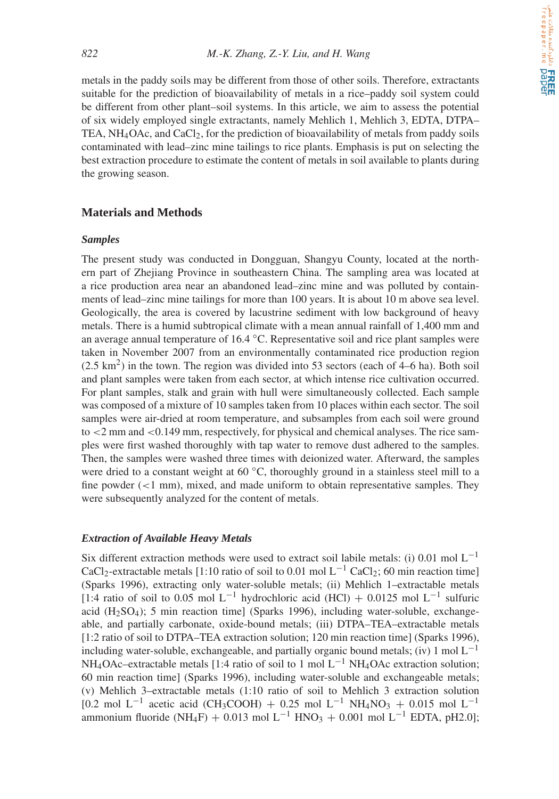metals in the paddy soils may be different from those of other soils. Therefore, extractants suitable for the prediction of bioavailability of metals in a rice–paddy soil system could be different from other plant–soil systems. In this article, we aim to assess the potential of six widely employed single extractants, namely Mehlich 1, Mehlich 3, EDTA, DTPA– TEA, NH4OAc, and CaCl2, for the prediction of bioavailability of metals from paddy soils contaminated with lead–zinc mine tailings to rice plants. Emphasis is put on selecting the best extraction procedure to estimate the content of metals in soil available to plants during the growing season.

#### **Materials and Methods**

#### *Samples*

The present study was conducted in Dongguan, Shangyu County, located at the northern part of Zhejiang Province in southeastern China. The sampling area was located at a rice production area near an abandoned lead–zinc mine and was polluted by containments of lead–zinc mine tailings for more than 100 years. It is about 10 m above sea level. Geologically, the area is covered by lacustrine sediment with low background of heavy metals. There is a humid subtropical climate with a mean annual rainfall of 1,400 mm and an average annual temperature of 16.4 ◦C. Representative soil and rice plant samples were taken in November 2007 from an environmentally contaminated rice production region  $(2.5 \text{ km}^2)$  in the town. The region was divided into 53 sectors (each of 4–6 ha). Both soil and plant samples were taken from each sector, at which intense rice cultivation occurred. For plant samples, stalk and grain with hull were simultaneously collected. Each sample was composed of a mixture of 10 samples taken from 10 places within each sector. The soil samples were air-dried at room temperature, and subsamples from each soil were ground to *<*2 mm and *<*0.149 mm, respectively, for physical and chemical analyses. The rice samples were first washed thoroughly with tap water to remove dust adhered to the samples. Then, the samples were washed three times with deionized water. Afterward, the samples were dried to a constant weight at 60  $°C$ , thoroughly ground in a stainless steel mill to a fine powder (*<*1 mm), mixed, and made uniform to obtain representative samples. They were subsequently analyzed for the content of metals.

#### *Extraction of Available Heavy Metals*

Six different extraction methods were used to extract soil labile metals: (i) 0.01 mol L<sup>−1</sup> CaCl<sub>2</sub>-extractable metals [1:10 ratio of soil to 0.01 mol L<sup>-1</sup> CaCl<sub>2</sub>; 60 min reaction time] (Sparks 1996), extracting only water-soluble metals; (ii) Mehlich 1–extractable metals [1:4 ratio of soil to 0.05 mol L<sup>-1</sup> hydrochloric acid (HCl) + 0.0125 mol L<sup>-1</sup> sulfuric acid  $(H<sub>2</sub>SO<sub>4</sub>)$ ; 5 min reaction time] (Sparks 1996), including water-soluble, exchangeable, and partially carbonate, oxide-bound metals; (iii) DTPA–TEA–extractable metals [1:2 ratio of soil to DTPA–TEA extraction solution; 120 min reaction time] (Sparks 1996), including water-soluble, exchangeable, and partially organic bound metals; (iv) 1 mol  $L^{-1}$ NH<sub>4</sub>OAc–extractable metals [1:4 ratio of soil to 1 mol  $L^{-1}$  NH<sub>4</sub>OAc extraction solution; 60 min reaction time] (Sparks 1996), including water-soluble and exchangeable metals; (v) Mehlich 3–extractable metals (1:10 ratio of soil to Mehlich 3 extraction solution [0.2 mol L<sup>-1</sup> acetic acid (CH<sub>3</sub>COOH) + 0.25 mol L<sup>-1</sup> NH<sub>4</sub>NO<sub>3</sub> + 0.015 mol L<sup>-1</sup> ammonium fluoride (NH<sub>4</sub>F) + 0.013 mol L<sup>-1</sup> HNO<sub>3</sub> + 0.001 mol L<sup>-1</sup> EDTA, pH2.0];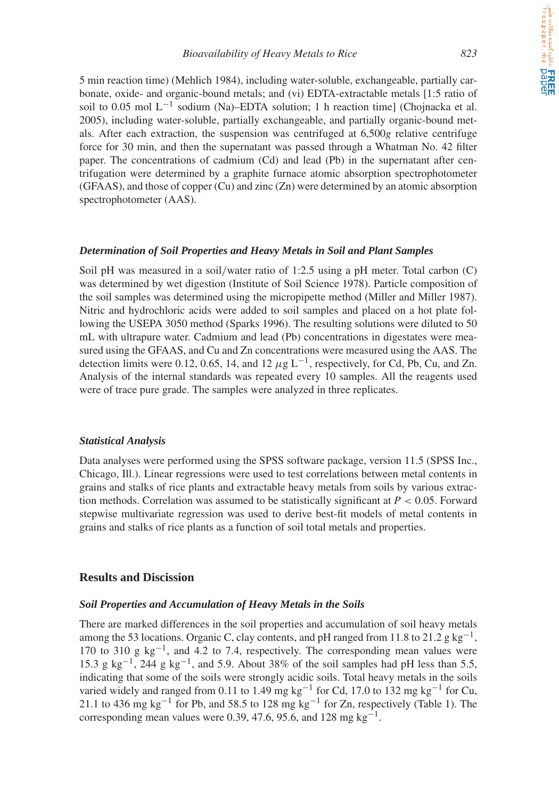5 min reaction time) (Mehlich 1984), including water-soluble, exchangeable, partially carbonate, oxide- and organic-bound metals; and (vi) EDTA-extractable metals [1:5 ratio of soil to 0.05 mol  $L^{-1}$  sodium (Na)–EDTA solution; 1 h reaction time] (Chojnacka et al. 2005), including water-soluble, partially exchangeable, and partially organic-bound metals. After each extraction, the suspension was centrifuged at 6,500*g* relative centrifuge force for 30 min, and then the supernatant was passed through a Whatman No. 42 filter paper. The concentrations of cadmium (Cd) and lead (Pb) in the supernatant after centrifugation were determined by a graphite furnace atomic absorption spectrophotometer (GFAAS), and those of copper (Cu) and zinc (Zn) were determined by an atomic absorption spectrophotometer (AAS).

#### *Determination of Soil Properties and Heavy Metals in Soil and Plant Samples*

Soil pH was measured in a soil*/*water ratio of 1:2.5 using a pH meter. Total carbon (C) was determined by wet digestion (Institute of Soil Science 1978). Particle composition of the soil samples was determined using the micropipette method (Miller and Miller 1987). Nitric and hydrochloric acids were added to soil samples and placed on a hot plate following the USEPA 3050 method (Sparks 1996). The resulting solutions were diluted to 50 mL with ultrapure water. Cadmium and lead (Pb) concentrations in digestates were measured using the GFAAS, and Cu and Zn concentrations were measured using the AAS. The detection limits were 0.12, 0.65, 14, and 12  $\mu$ g L<sup>-1</sup>, respectively, for Cd, Pb, Cu, and Zn. Analysis of the internal standards was repeated every 10 samples. All the reagents used were of trace pure grade. The samples were analyzed in three replicates.

#### *Statistical Analysis*

Data analyses were performed using the SPSS software package, version 11.5 (SPSS Inc., Chicago, Ill.). Linear regressions were used to test correlations between metal contents in grains and stalks of rice plants and extractable heavy metals from soils by various extraction methods. Correlation was assumed to be statistically significant at *P <* 0.05. Forward stepwise multivariate regression was used to derive best-fit models of metal contents in grains and stalks of rice plants as a function of soil total metals and properties.

#### **Results and Discission**

#### *Soil Properties and Accumulation of Heavy Metals in the Soils*

There are marked differences in the soil properties and accumulation of soil heavy metals among the 53 locations. Organic C, clay contents, and pH ranged from 11.8 to 21.2 g kg<sup>-1</sup>, 170 to 310 g  $kg^{-1}$ , and 4.2 to 7.4, respectively. The corresponding mean values were 15.3 g kg<sup>-1</sup>, 244 g kg<sup>-1</sup>, and 5.9. About 38% of the soil samples had pH less than 5.5, indicating that some of the soils were strongly acidic soils. Total heavy metals in the soils varied widely and ranged from 0.11 to 1.49 mg kg<sup>-1</sup> for Cd, 17.0 to 132 mg kg<sup>-1</sup> for Cu, 21.1 to 436 mg kg<sup>-1</sup> for Pb, and 58.5 to 128 mg kg<sup>-1</sup> for Zn, respectively (Table 1). The corresponding mean values were 0.39, 47.6, 95.6, and 128 mg kg<sup>-1</sup>.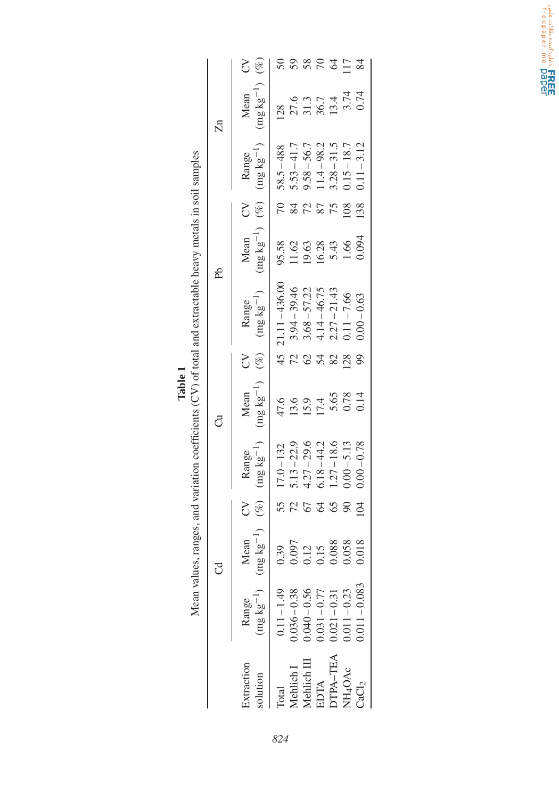|                                                                                               |                     | $(\%)$<br>Z                                    | 50                |                      |                         | 5870                                               |                                                                              | $\overline{17}$     | $\approx$         |
|-----------------------------------------------------------------------------------------------|---------------------|------------------------------------------------|-------------------|----------------------|-------------------------|----------------------------------------------------|------------------------------------------------------------------------------|---------------------|-------------------|
|                                                                                               | $\overline{\Sigma}$ | $(mg kg^{-1})$<br>Mean                         | 128               | 27.6<br>31.3<br>13.4 |                         |                                                    |                                                                              | $3.74$<br>0.74      |                   |
|                                                                                               |                     | $(mg kg^{-1})$<br>Range                        | $58.5 - 488$      | $5.53 - 41.7$        | $9.58 - 56.7$           | $11.4 - 98.2$                                      | $3.28 - 31.5$                                                                | $0.15 - 18.7$       | $0.11 - 3.12$     |
|                                                                                               |                     | Š                                              | 70                | 84                   | 72                      | 87                                                 |                                                                              | 108                 | 138               |
|                                                                                               | Ph                  | $(mg kg^{-1})$ (%)<br>Mean                     | 95.58             | 1.62                 | 19.63                   | 16.28                                              | 5.43                                                                         |                     | 0.094             |
| ranges, and variation coefficients (CV) of total and extractable heavy metals in soil samples |                     | $(mg kg^{-1})$<br>Range                        | 45 21.11 - 436.00 | $3.94 - 39.46$       | $3.68 - 57.22$          | $4.14 - 46.75$<br>2.27 – 21.43                     |                                                                              | $0.11 - 7.66$       | $0.00 - 0.63$     |
|                                                                                               |                     | $(\%)$<br>5                                    |                   | 72                   | $\mathcal{O}$           | 54                                                 | 82                                                                           | 28                  | 99                |
|                                                                                               | ರೆ                  | $(mg kg^{-1})$<br>Mean                         |                   | 47.6<br>13.6         |                         | $\frac{15.9}{17.4}$<br>5.65                        |                                                                              | $0.78$<br>$0.14$    |                   |
|                                                                                               |                     | $(mg kg^{-1})$<br>Range                        | $17.0 - 132$      | $5.13 - 22.9$        | $4.27 - 29.6$           | $5.18 - 44.2$                                      | $1.27 - 18.6$                                                                | $0.00 - 5.13$       | $0.00 - 0.78$     |
|                                                                                               |                     | $(\%)$<br>3                                    | 55                | 72                   | 67                      | $\mathcal{Q}$                                      | 65                                                                           | $\infty$            | $\beta$           |
|                                                                                               | ರ                   | $\text{kg}^{-1}$<br>Mean<br>(mg <sub>1</sub> ) | 0.39              | 1.097                | $\mathcal{L}$<br>$\sum$ | $\sum$                                             | 0.088                                                                        | 0.058               | 0.018             |
| Mean values, 1                                                                                |                     | $(\text{mg kg}^{-1})$<br>Range                 | $0.11 - 1.49$     |                      |                         | $0.036 - 0.38$<br>$0.040 - 0.56$<br>$0.031 - 0.77$ | $\begin{array}{c} 0.021 - 0.31 \\ 0.011 - 0.23 \\ 0.011 - 0.083 \end{array}$ |                     |                   |
|                                                                                               |                     | Extraction<br>olution                          | <b>Total</b>      | Aehlich <sub>I</sub> | Aehlich III             | EDTA<br>DTPA-TEA                                   |                                                                              | JH <sub>4</sub> OAc | $\mathrm{CaCl}_2$ |

| <b>T</b> alone |                                                                                                   |
|----------------|---------------------------------------------------------------------------------------------------|
|                |                                                                                                   |
|                |                                                                                                   |
|                |                                                                                                   |
|                |                                                                                                   |
|                |                                                                                                   |
|                |                                                                                                   |
|                |                                                                                                   |
|                |                                                                                                   |
|                |                                                                                                   |
|                |                                                                                                   |
|                |                                                                                                   |
|                |                                                                                                   |
|                |                                                                                                   |
|                |                                                                                                   |
|                |                                                                                                   |
|                |                                                                                                   |
|                |                                                                                                   |
|                |                                                                                                   |
|                |                                                                                                   |
|                |                                                                                                   |
|                |                                                                                                   |
|                |                                                                                                   |
|                |                                                                                                   |
|                |                                                                                                   |
|                |                                                                                                   |
|                |                                                                                                   |
|                |                                                                                                   |
|                |                                                                                                   |
|                |                                                                                                   |
|                | alues, ranges, and variation coefficients $(CV)$ of total and extractable heavy metals in soil s. |

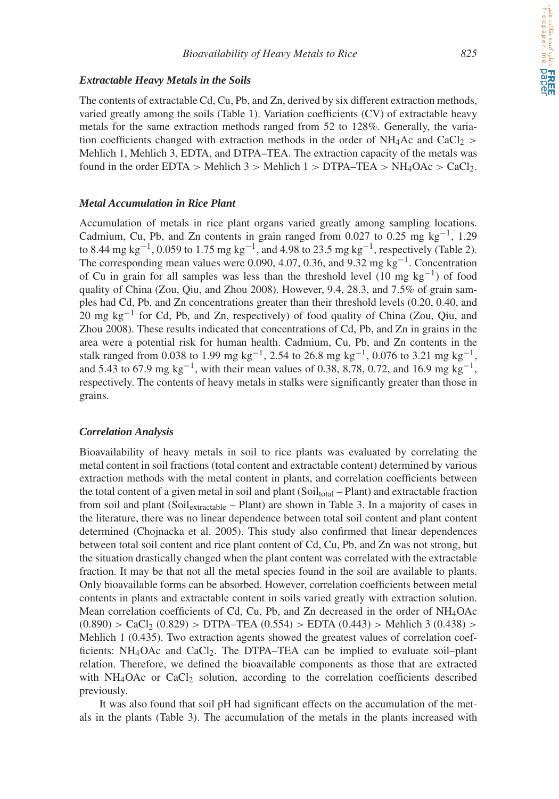#### *Extractable Heavy Metals in the Soils*

The contents of extractable Cd, Cu, Pb, and Zn, derived by six different extraction methods, varied greatly among the soils (Table 1). Variation coefficients (CV) of extractable heavy metals for the same extraction methods ranged from 52 to 128%. Generally, the variation coefficients changed with extraction methods in the order of  $NH<sub>4</sub>Ac$  and  $CaCl<sub>2</sub>$  *>* Mehlich 1, Mehlich 3, EDTA, and DTPA–TEA. The extraction capacity of the metals was found in the order EDTA  $>$  Mehlich 3  $>$  Mehlich 1  $>$  DTPA–TEA  $>$  NH<sub>4</sub>OAc  $>$  CaCl<sub>2</sub>.

#### *Metal Accumulation in Rice Plant*

Accumulation of metals in rice plant organs varied greatly among sampling locations. Cadmium, Cu, Pb, and Zn contents in grain ranged from 0.027 to 0.25 mg kg<sup>-1</sup>, 1.29 to 8.44 mg kg−1, 0.059 to 1.75 mg kg−1, and 4.98 to 23.5 mg kg−1, respectively (Table 2). The corresponding mean values were 0.090, 4.07, 0.36, and 9.32 mg kg<sup>-1</sup>. Concentration of Cu in grain for all samples was less than the threshold level (10 mg kg<sup>-1</sup>) of food quality of China (Zou, Qiu, and Zhou 2008). However, 9.4, 28.3, and 7.5% of grain samples had Cd, Pb, and Zn concentrations greater than their threshold levels (0.20, 0.40, and 20 mg kg<sup>-1</sup> for Cd, Pb, and Zn, respectively) of food quality of China (Zou, Qiu, and Zhou 2008). These results indicated that concentrations of Cd, Pb, and Zn in grains in the area were a potential risk for human health. Cadmium, Cu, Pb, and Zn contents in the stalk ranged from 0.038 to 1.99 mg kg<sup>-1</sup>, 2.54 to 26.8 mg kg<sup>-1</sup>, 0.076 to 3.21 mg kg<sup>-1</sup>, and 5.43 to 67.9 mg kg<sup>-1</sup>, with their mean values of 0.38, 8.78, 0.72, and 16.9 mg kg<sup>-1</sup>, respectively. The contents of heavy metals in stalks were significantly greater than those in grains.

#### *Correlation Analysis*

Bioavailability of heavy metals in soil to rice plants was evaluated by correlating the metal content in soil fractions (total content and extractable content) determined by various extraction methods with the metal content in plants, and correlation coefficients between the total content of a given metal in soil and plant (Soil<sub>total</sub> – Plant) and extractable fraction from soil and plant (Soil<sub>extractable</sub> – Plant) are shown in Table 3. In a majority of cases in the literature, there was no linear dependence between total soil content and plant content determined (Chojnacka et al. 2005). This study also confirmed that linear dependences between total soil content and rice plant content of Cd, Cu, Pb, and Zn was not strong, but the situation drastically changed when the plant content was correlated with the extractable fraction. It may be that not all the metal species found in the soil are available to plants. Only bioavailable forms can be absorbed. However, correlation coefficients between metal contents in plants and extractable content in soils varied greatly with extraction solution. Mean correlation coefficients of Cd, Cu, Pb, and Zn decreased in the order of NH4OAc  $(0.890)$  > CaCl<sub>2</sub>  $(0.829)$  > DTPA–TEA  $(0.554)$  > EDTA  $(0.443)$  > Mehlich 3  $(0.438)$  > Mehlich 1 (0.435). Two extraction agents showed the greatest values of correlation coefficients:  $NH_4O$ Ac and  $CaCl<sub>2</sub>$ . The DTPA–TEA can be implied to evaluate soil–plant relation. Therefore, we defined the bioavailable components as those that are extracted with  $NH<sub>4</sub>OAC$  or CaCl<sub>2</sub> solution, according to the correlation coefficients described previously.

It was also found that soil pH had significant effects on the accumulation of the metals in the plants (Table 3). The accumulation of the metals in the plants increased with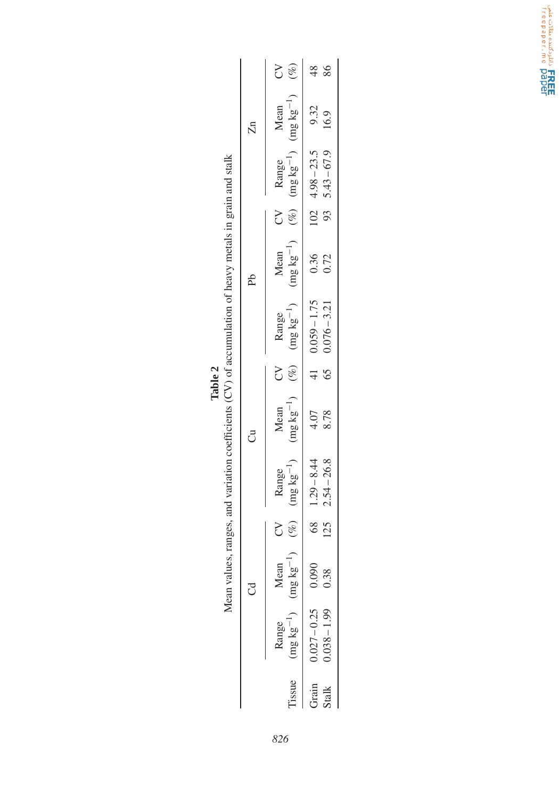|                                                                                            |                    | Š                                                                                                                                                                  | 86<br>$\frac{8}{4}$                          |
|--------------------------------------------------------------------------------------------|--------------------|--------------------------------------------------------------------------------------------------------------------------------------------------------------------|----------------------------------------------|
|                                                                                            | $\Xi$              | Mean                                                                                                                                                               | 9.32<br>16.9                                 |
|                                                                                            |                    | Range                                                                                                                                                              | $102 \quad 4.98 - 23.5$<br>$93, 5.43 - 67.9$ |
|                                                                                            |                    | $\gtrsim$                                                                                                                                                          |                                              |
|                                                                                            | Ρb                 | Mean                                                                                                                                                               | 0.36<br>0.72                                 |
| ranges, and variation coefficients (CV) of accumulation of heavy metals in grain and stalk |                    | (%) $(\frac{1}{2}kg^{-1})$ (mg kg <sup>-1</sup> ) (%) (mg kg <sup>-1</sup> ) (mg kg <sup>-1</sup> ) (%) (mg kg <sup>-1</sup> ) (mg kg <sup>-1</sup> ) (%)<br>Range | $41$ 0.059 - 1.75<br>$6500076 - 3.21$        |
| Table 2                                                                                    |                    | $\zeta$                                                                                                                                                            |                                              |
|                                                                                            | ටී                 | Mean                                                                                                                                                               | 4.07<br>8.78                                 |
|                                                                                            |                    | Range                                                                                                                                                              | $125$ $2.54 - 26.8$<br>$68$ 1.29 - 8.44      |
|                                                                                            |                    | $\lesssim$                                                                                                                                                         |                                              |
| Mean values,                                                                               | $\tilde{\epsilon}$ | Mean                                                                                                                                                               | 0.38                                         |
|                                                                                            |                    | $(mg kg^{-1})$ $(mg kg^{-1})$<br>Range                                                                                                                             | $0.027 - 0.25$ 0.090<br>$0.038 - 1.99$       |
|                                                                                            |                    | Tissue                                                                                                                                                             | Grain<br>Stalk                               |

| $\overline{\mathbb{Z}}$ | Mean<br>$(\text{mg kg}^{-1})$        | $9.32$<br>16.9                           |  |
|-------------------------|--------------------------------------|------------------------------------------|--|
|                         | Range<br>$(mg kg^{-1})$              | $5.43 - 67.9$<br>$102 \quad 4.98 - 23.5$ |  |
|                         | $(\%)$<br>Š                          | 93                                       |  |
| Ъp                      | Mean<br>$(mg \, kg^{-1})$            | 0.36<br>0.72                             |  |
|                         | Range<br>$(mg kg^{-1})$              | $0.059 - 1.75$<br>$0.076 - 3.21$         |  |
|                         | $(6)$ .<br>S                         | 65<br>$\frac{41}{2}$                     |  |
| $\vec{c}$               | Mean<br>$(mg kg^{-1})$               | 4.07<br>8.78                             |  |
|                         | Range<br>$(mg \; kg^{-1})$           | $68$ 1.29 - 8.44<br>$2.54 - 26.8$        |  |
|                         | 3                                    | 125                                      |  |
| ہے<br>آ                 | $(kg^{-1})$ (%)<br><b>lean</b><br>mg | 0.00<br>38                               |  |
|                         | $mg \, kg^{-1}$                      | $0.027 - 0.25$<br>$0.038 - 1.99$         |  |
|                         | sue                                  |                                          |  |

Cole Colla, o anticolario FREE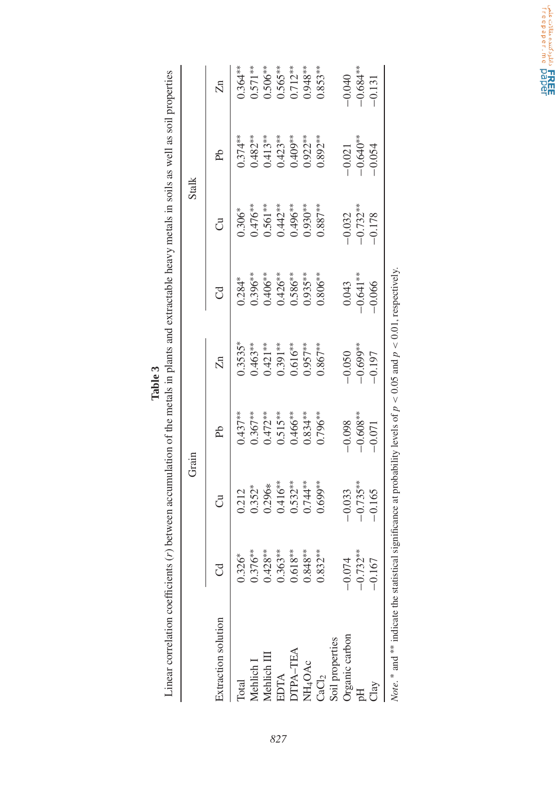Linear correlation coefficients (r) between accumulation of the metals in plants and extractable heavy metals in soils as well as soil properties Linear correlation coefficients (*r*) between accumulation of the metals in plants and extractable heavy metals in soils as well as soil properties **Table 3**

|                                                                                                                                          |             |             | Grain                 |                                                               |                        |                       | <b>Stalk</b>           |                         |
|------------------------------------------------------------------------------------------------------------------------------------------|-------------|-------------|-----------------------|---------------------------------------------------------------|------------------------|-----------------------|------------------------|-------------------------|
| Extraction solution                                                                                                                      | ರ           | Ju          | Ъp                    | Zn                                                            | ರ                      | ರೆ                    | Ъp                     | $\overline{\mathbb{Z}}$ |
| Total                                                                                                                                    | $0.326*$    | 0.212       | $0.437***$            | $0.3535*$                                                     | $0.284*$               | $0.306*$              | $0.374***$             | $0.364***$              |
| Mehlich <sub>I</sub>                                                                                                                     | $0.376***$  | $0.352*$    | $0.367***$            | $0.463***$                                                    | $0.396***$             |                       | $0.482***$             | $0.571***$              |
| Mehlich III                                                                                                                              | $0.428***$  | $0.296*$    |                       | $0.421***$                                                    | $0.406***$             | $0.476***$<br>0.561** | $0.413***$             | $0.506***$              |
| EDTA                                                                                                                                     | $0.363***$  | $0.416***$  | $0.472***$<br>0.515** | $0.391***$                                                    | $0.426***$             | $0.442***$            | $0.423***$             | $0.565***$              |
| DTPA-TEA                                                                                                                                 | $0.618***$  | $0.532***$  | $0.466***$            |                                                               | $0.586***$             | $0.496***$            | $0.409**$              | $0.712***$              |
| NH <sub>4</sub> OAc                                                                                                                      | $0.848***$  | $0.744**$   | $0.834***$            | $0.616***$<br>0.957**                                         | $0.935***$             | $0.930***$            | $0.922**$              | $0.948***$              |
| CaCl <sub>2</sub>                                                                                                                        | $0.832***$  | $0.699**$   | $0.796***$            | $0.867***$                                                    | $0.806**$              | $0.887***$            | $0.892***$             | $0.853***$              |
| Soil properties                                                                                                                          |             |             |                       |                                                               |                        |                       |                        |                         |
| Organic carbon                                                                                                                           | $-0.074$    | $-0.033$    | $-0.098$              |                                                               |                        | $-0.032$              |                        |                         |
| H                                                                                                                                        | $-0.732***$ | $-0.735***$ | $-0.608***$           | $\begin{array}{r} -0.050 \ -0.699^{***} \ -0.197 \end{array}$ | $0.043$<br>$-0.641***$ | $-0.732***$           | $-0.021$<br>$-0.640**$ | $-0.040$<br>$-0.684***$ |
|                                                                                                                                          | $-0.167$    | $-0.165$    | $-0.071$              |                                                               | $-0.066$               | $-0.178$              | $-0.054$               | $-0.131$                |
| Mote $\frac{1}{2}$ and $\frac{1}{2}$ at the statistical similar and at probability layels of $n > 0$ OS and $n > 0$ O $n$ reconstructive |             |             |                       |                                                               |                        |                       |                        |                         |

mateur une statustical significance at probability induced by  $\rho \leq 0.01$ ,  $\rho \leq 0.01$ , respectively. *Note*. <sup>\*</sup> and <sup>\*</sup> indicate the statistical significance at probability levels of  $p < 0.05$  and  $p < 0.01$ , respectively. Note. and

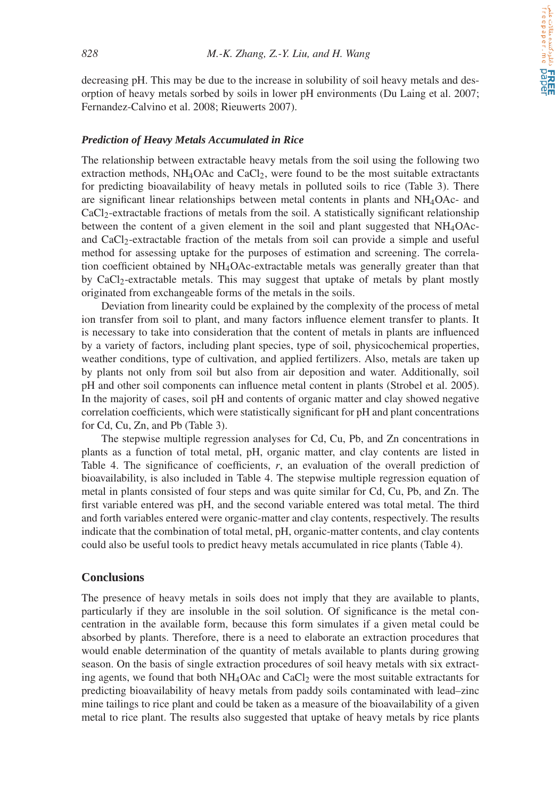decreasing pH. This may be due to the increase in solubility of soil heavy metals and desorption of heavy metals sorbed by soils in lower pH environments (Du Laing et al. 2007; Fernandez-Calvino et al. 2008; Rieuwerts 2007).

#### *Prediction of Heavy Metals Accumulated in Rice*

The relationship between extractable heavy metals from the soil using the following two extraction methods,  $NH<sub>4</sub>OAC$  and  $CaCl<sub>2</sub>$ , were found to be the most suitable extractants for predicting bioavailability of heavy metals in polluted soils to rice (Table 3). There are significant linear relationships between metal contents in plants and NH4OAc- and CaCl2-extractable fractions of metals from the soil. A statistically significant relationship between the content of a given element in the soil and plant suggested that  $NH_4OAc$ and CaCl<sub>2</sub>-extractable fraction of the metals from soil can provide a simple and useful method for assessing uptake for the purposes of estimation and screening. The correlation coefficient obtained by NH4OAc-extractable metals was generally greater than that by CaCl2-extractable metals. This may suggest that uptake of metals by plant mostly originated from exchangeable forms of the metals in the soils.

Deviation from linearity could be explained by the complexity of the process of metal ion transfer from soil to plant, and many factors influence element transfer to plants. It is necessary to take into consideration that the content of metals in plants are influenced by a variety of factors, including plant species, type of soil, physicochemical properties, weather conditions, type of cultivation, and applied fertilizers. Also, metals are taken up by plants not only from soil but also from air deposition and water. Additionally, soil pH and other soil components can influence metal content in plants (Strobel et al. 2005). In the majority of cases, soil pH and contents of organic matter and clay showed negative correlation coefficients, which were statistically significant for pH and plant concentrations for Cd, Cu, Zn, and Pb (Table 3).

The stepwise multiple regression analyses for Cd, Cu, Pb, and Zn concentrations in plants as a function of total metal, pH, organic matter, and clay contents are listed in Table 4. The significance of coefficients,  $r$ , an evaluation of the overall prediction of bioavailability, is also included in Table 4. The stepwise multiple regression equation of metal in plants consisted of four steps and was quite similar for Cd, Cu, Pb, and Zn. The first variable entered was pH, and the second variable entered was total metal. The third and forth variables entered were organic-matter and clay contents, respectively. The results indicate that the combination of total metal, pH, organic-matter contents, and clay contents could also be useful tools to predict heavy metals accumulated in rice plants (Table 4).

#### **Conclusions**

The presence of heavy metals in soils does not imply that they are available to plants, particularly if they are insoluble in the soil solution. Of significance is the metal concentration in the available form, because this form simulates if a given metal could be absorbed by plants. Therefore, there is a need to elaborate an extraction procedures that would enable determination of the quantity of metals available to plants during growing season. On the basis of single extraction procedures of soil heavy metals with six extracting agents, we found that both  $NH_4O$ Ac and  $CaCl_2$  were the most suitable extractants for predicting bioavailability of heavy metals from paddy soils contaminated with lead–zinc mine tailings to rice plant and could be taken as a measure of the bioavailability of a given metal to rice plant. The results also suggested that uptake of heavy metals by rice plants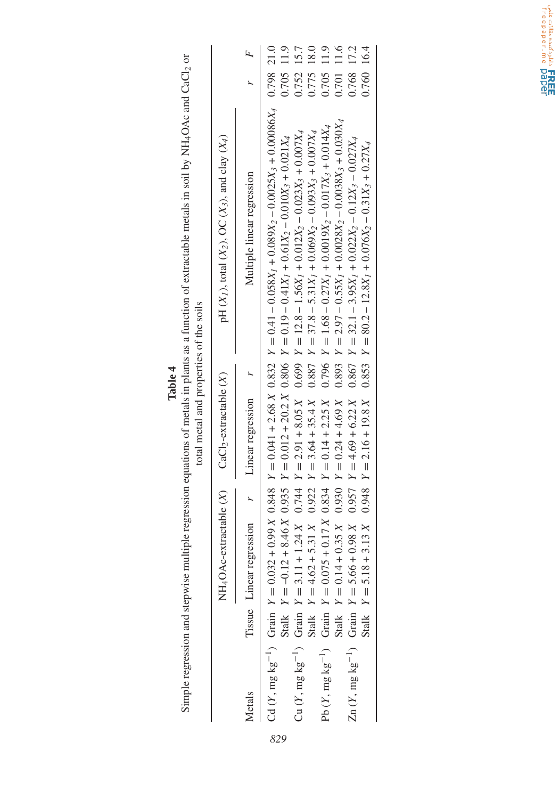|               |       |                                                    | total metal and properties of the soils                                    |                                                                                                                                                                                                                                                                               |                          |                |
|---------------|-------|----------------------------------------------------|----------------------------------------------------------------------------|-------------------------------------------------------------------------------------------------------------------------------------------------------------------------------------------------------------------------------------------------------------------------------|--------------------------|----------------|
|               |       |                                                    | NH <sub>4</sub> OAc-extractable $(X)$ CaCl <sub>2</sub> -extractable $(X)$ | pH $(X_1)$ , total $(X_2)$ , OC $(X_3)$ , and clay $(X_4)$                                                                                                                                                                                                                    |                          |                |
| <b>Metals</b> |       | Tissue Linear regression $r$ Linear regression $r$ |                                                                            | Multiple linear regression                                                                                                                                                                                                                                                    |                          | $\overline{F}$ |
|               |       |                                                    |                                                                            | Cd (Y, mg kg <sup>-1</sup> ) Grain $Y = 0.032 + 0.99X$ 0.848 $Y = 0.041 + 2.68X$ 0.832 $Y = 0.41 - 0.058X_1 + 0.089X_2 - 0.0025X_3 + 0.0086X_4$ 0.798 21.0<br>Stalk $Y = -0.12 + 8.46 X 0.935 Y = 0.012 + 20.2 X 0.806 Y = 0.19 - 0.41 X1 + 0.61 X2 - 0.010.01 X3 + 0.001 X4$ | $0.705$ 11.9             |                |
|               | Stalk |                                                    |                                                                            | $Y = 4.62 + 5.31 X$ (0.92 $Y = 3.64 + 3.54 X$ (0.887 $Y = 37.8 - 5.31 X_1 + 0.069 X_2 - 0.093 X_3 + 0.0000 X_4$<br>Cu $(Y, mg kg^{-1})$ Grain $Y = 3.11 + 1.24X$ 0.744 $Y = 2.91 + 8.05X$ 0.699 $Y = 12.8 - 1.56X1 + 0.012X2 - 0.023X3 + 0.007X4$                             | 0.752 15.7<br>0.775      | 18.0           |
|               |       |                                                    |                                                                            | Stalk $Y = 0.14 + 0.35 X$ $0.930 Y = 0.24 + 4.69 X$ $0.893 Y = 2.97 - 0.55X1 + 0.0028X2 - 0.0038X3 + 0.030X4$<br>Pb (Y, mg kg <sup>-1</sup> ) Grain $Y = 0.075 + 0.17 X 0.834 Y = 0.14 + 2.25 X 0.796 Y = 1.68 - 0.27X_1 + 0.0019X_2 - 0.017X_3 + 0.014X_4$                   | 0.705<br>0.701           | 11.6<br>11.9   |
|               |       |                                                    |                                                                            | Zn $(Y, mg kg^{-1})$ Grain $Y = 5.66 + 0.98 X$ $0.957$ $Y = 4.69 + 6.22 X$ $0.867$ $Y = 32.1 - 3.95X_1 + 0.022X_2 - 0.12X_3 - 0.027X_4$<br>Stalk $Y = 5.18 + 3.13 X$ $0.948$ $Y = 2.16 + 19.8 X$ $0.853$ $Y = 80.2 - 12.8X1 + 0.076X2 - 0.31X3 + 0.27X4$                      | 0.760 16.4<br>0.768 17.2 |                |

Simple regression and stepwise multiple regression equations of metals in plants as a function of extractable metals in soil by NH<sub>4</sub>OAc and CaCl2 or Simple regression and stepwise multiple regression equations of metals in plants as a function of extractable metals in soil by NH4OAc and CaCl2 or **Table 4**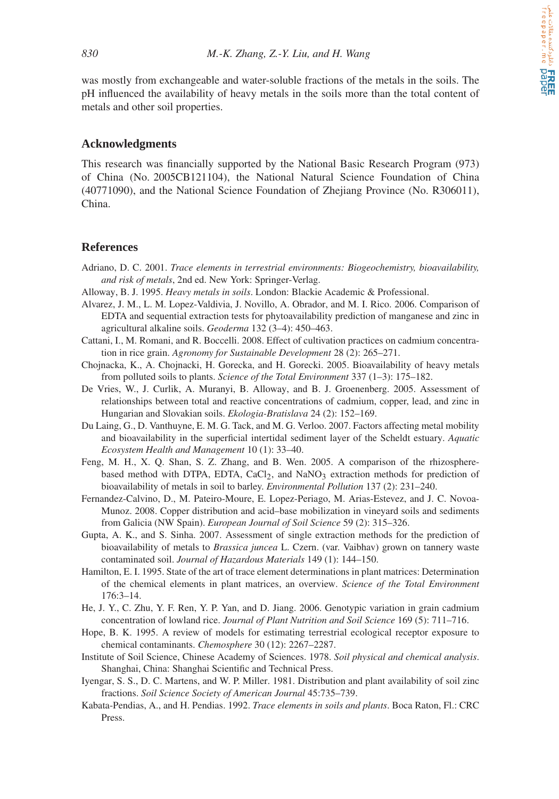was mostly from exchangeable and water-soluble fractions of the metals in the soils. The pH influenced the availability of heavy metals in the soils more than the total content of metals and other soil properties.

#### **Acknowledgments**

This research was financially supported by the National Basic Research Program (973) of China (No. 2005CB121104), the National Natural Science Foundation of China (40771090), and the National Science Foundation of Zhejiang Province (No. R306011), China.

#### **References**

- Adriano, D. C. 2001. *Trace elements in terrestrial environments: Biogeochemistry, bioavailability, and risk of metals*, 2nd ed. New York: Springer-Verlag.
- Alloway, B. J. 1995. *Heavy metals in soils*. London: Blackie Academic & Professional.
- Alvarez, J. M., L. M. Lopez-Valdivia, J. Novillo, A. Obrador, and M. I. Rico. 2006. Comparison of EDTA and sequential extraction tests for phytoavailability prediction of manganese and zinc in agricultural alkaline soils. *Geoderma* 132 (3–4): 450–463.
- Cattani, I., M. Romani, and R. Boccelli. 2008. Effect of cultivation practices on cadmium concentration in rice grain. *Agronomy for Sustainable Development* 28 (2): 265–271.
- Chojnacka, K., A. Chojnacki, H. Gorecka, and H. Gorecki. 2005. Bioavailability of heavy metals from polluted soils to plants. *Science of the Total Environment* 337 (1–3): 175–182.
- De Vries, W., J. Curlik, A. Muranyi, B. Alloway, and B. J. Groenenberg. 2005. Assessment of relationships between total and reactive concentrations of cadmium, copper, lead, and zinc in Hungarian and Slovakian soils. *Ekologia-Bratislava* 24 (2): 152–169.
- Du Laing, G., D. Vanthuyne, E. M. G. Tack, and M. G. Verloo. 2007. Factors affecting metal mobility and bioavailability in the superficial intertidal sediment layer of the Scheldt estuary. *Aquatic Ecosystem Health and Management* 10 (1): 33–40.
- Feng, M. H., X. Q. Shan, S. Z. Zhang, and B. Wen. 2005. A comparison of the rhizospherebased method with DTPA, EDTA,  $CaCl<sub>2</sub>$ , and  $NaNO<sub>3</sub>$  extraction methods for prediction of bioavailability of metals in soil to barley. *Environmental Pollution* 137 (2): 231–240.
- Fernandez-Calvino, D., M. Pateiro-Moure, E. Lopez-Periago, M. Arias-Estevez, and J. C. Novoa-Munoz. 2008. Copper distribution and acid–base mobilization in vineyard soils and sediments from Galicia (NW Spain). *European Journal of Soil Science* 59 (2): 315–326.
- Gupta, A. K., and S. Sinha. 2007. Assessment of single extraction methods for the prediction of bioavailability of metals to *Brassica juncea* L. Czern. (var. Vaibhav) grown on tannery waste contaminated soil. *Journal of Hazardous Materials* 149 (1): 144–150.
- Hamilton, E. I. 1995. State of the art of trace element determinations in plant matrices: Determination of the chemical elements in plant matrices, an overview. *Science of the Total Environment* 176:3–14.
- He, J. Y., C. Zhu, Y. F. Ren, Y. P. Yan, and D. Jiang. 2006. Genotypic variation in grain cadmium concentration of lowland rice. *Journal of Plant Nutrition and Soil Science* 169 (5): 711–716.
- Hope, B. K. 1995. A review of models for estimating terrestrial ecological receptor exposure to chemical contaminants. *Chemosphere* 30 (12): 2267–2287.
- Institute of Soil Science, Chinese Academy of Sciences. 1978. *Soil physical and chemical analysis*. Shanghai, China: Shanghai Scientific and Technical Press.
- Iyengar, S. S., D. C. Martens, and W. P. Miller. 1981. Distribution and plant availability of soil zinc fractions. *Soil Science Society of American Journal* 45:735–739.
- Kabata-Pendias, A., and H. Pendias. 1992. *Trace elements in soils and plants*. Boca Raton, Fl.: CRC Press.